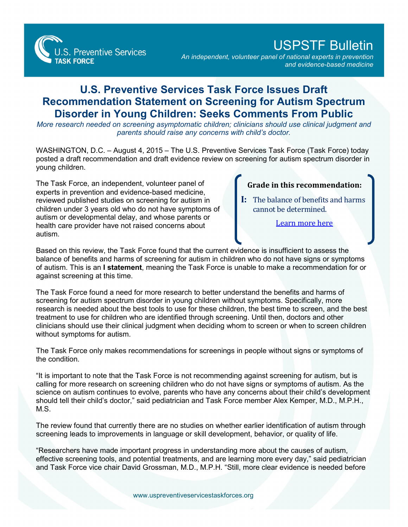**S. Preventive Services TASK FORCE** 

USPSTF Bulletin

*An independent, volunteer panel of national experts in prevention and evidence-based medicine*

## **U.S. Preventive Services Task Force Issues Draft Recommendation Statement on Screening for Autism Spectrum Disorder in Young Children: Seeks Comments From Public**

*More research needed on screening asymptomatic children; clinicians should use clinical judgment and parents should raise any concerns with child's doctor.* 

WASHINGTON, D.C. – August 4, 2015 – The U.S. Preventive Services Task Force (Task Force) today posted a draft recommendation and draft evidence review on screening for autism spectrum disorder in young children.

The Task Force, an independent, volunteer panel of experts in prevention and evidence-based medicine, reviewed published studies on screening for autism in children under 3 years old who do not have symptoms of autism or developmental delay, and whose parents or health care provider have not raised concerns about autism.

**Grade in this recommendation:**

**I:** The balance of benefits and harms cannot be determined.

[Learn more here](http://www.uspreventiveservicestaskforce.org/Page/Name/grade-definitions)

Based on this review, the Task Force found that the current evidence is insufficient to assess the balance of benefits and harms of screening for autism in children who do not have signs or symptoms of autism. This is an **I statement**, meaning the Task Force is unable to make a recommendation for or against screening at this time.

The Task Force found a need for more research to better understand the benefits and harms of screening for autism spectrum disorder in young children without symptoms. Specifically, more research is needed about the best tools to use for these children, the best time to screen, and the best treatment to use for children who are identified through screening. Until then, doctors and other clinicians should use their clinical judgment when deciding whom to screen or when to screen children without symptoms for autism.

The Task Force only makes recommendations for screenings in people without signs or symptoms of the condition.

"It is important to note that the Task Force is not recommending against screening for autism, but is calling for more research on screening children who do not have signs or symptoms of autism. As the science on autism continues to evolve, parents who have any concerns about their child's development should tell their child's doctor," said pediatrician and Task Force member Alex Kemper, M.D., M.P.H., M.S.

The review found that currently there are no studies on whether earlier identification of autism through screening leads to improvements in language or skill development, behavior, or quality of life.

"Researchers have made important progress in understanding more about the causes of autism, effective screening tools, and potential treatments, and are learning more every day," said pediatrician and Task Force vice chair David Grossman, M.D., M.P.H. "Still, more clear evidence is needed before